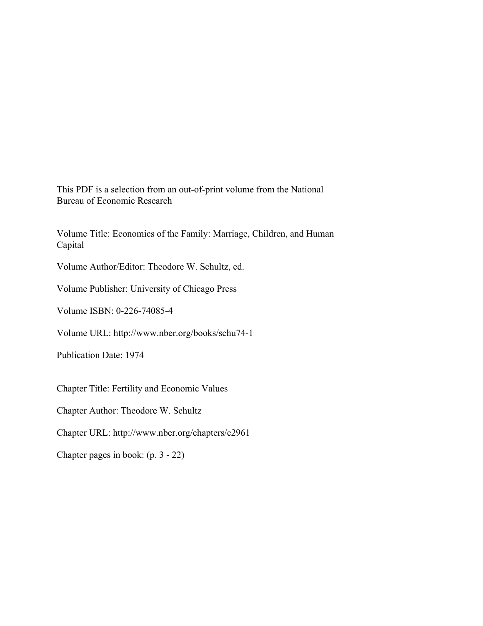This PDF is a selection from an out-of-print volume from the National Bureau of Economic Research

Volume Title: Economics of the Family: Marriage, Children, and Human Capital

Volume Author/Editor: Theodore W. Schultz, ed.

Volume Publisher: University of Chicago Press

Volume ISBN: 0-226-74085-4

Volume URL: http://www.nber.org/books/schu74-1

Publication Date: 1974

Chapter Title: Fertility and Economic Values

Chapter Author: Theodore W. Schultz

Chapter URL: http://www.nber.org/chapters/c2961

Chapter pages in book: (p. 3 - 22)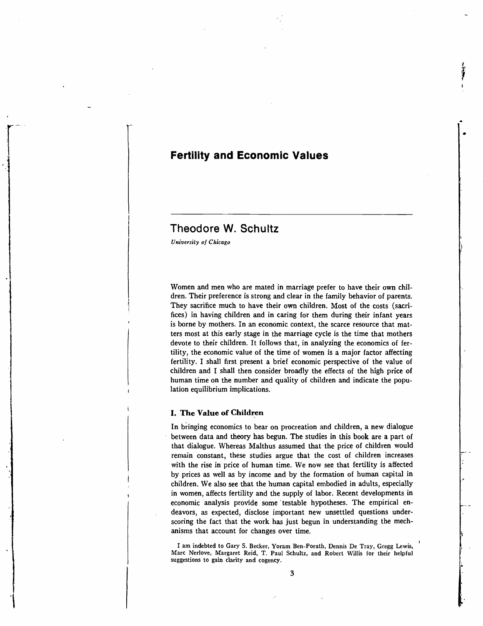# Fertility and Economic Values

# Theodore W. Schultz

University of Chicago

Women and men who are mated in marriage prefer to have their own children. Their preference is strong and clear in the family behavior of parents. They sacrifice much to have their own children. Most of the costs (sacrifices) in having children and in caring for them during their infant years is borne by mothers. In an economic context, the scarce resource that matters most at this early stage in the marriage cycle is the time that mothers devote to their children. It follows that, in analyzing the economics of fertility, the economic value of the time of women is a major factor affecting fertility. I shall first present a brief economic perspective of the value of children and I shall then consider broadly the effects of the high price of human time on the number and quality of children and indicate the population equilibrium implications.

## I. The Value of Children

In bringing economics to bear on procreation and children, a new dialogue between data and theory has begun. The studies in this book are a part of that dialogue. Whereas Malthus assumed that the price of children would remain constant, these studies argue that the cost of children increases with the rise in price of human time. We now see that fertility is affected by prices as well as by income and by the formation of human capital in children. We also see that the human capital embodied in adults, especially in women, affects fertility and the supply of labor. Recent developments in economic analysis provide some testable hypotheses. The empirical endeavors, as expected, disclose important new unsettled questions underscoring the fact that the work has just begun in understanding the mechanisms that account for changes over time.

I am indebted to Gary S. Becker, Yoram Ben-Porath, Dennis De Tray, Gregg Lewis, Marc Nerlove, Margaret Reid, T. Paul Schultz, and Robert Willis for their helpful suggestions to gain clarity and cogency.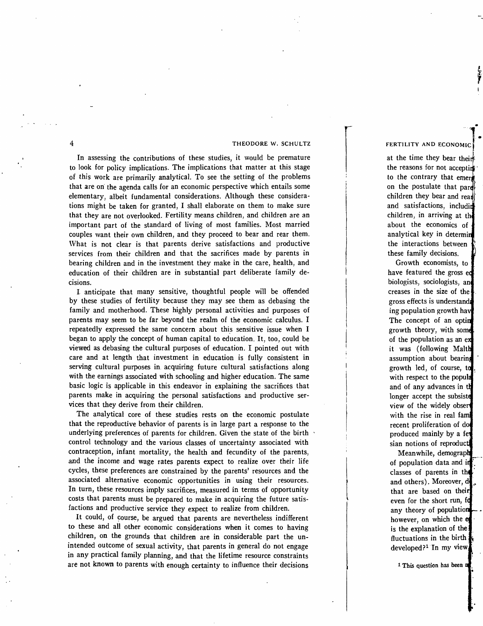In assessing the contributions of these studies, it would be premature to look for policy implications. The implications that matter at this stage of this work are primarily analytical. To see the setting of the problems that are on the agenda calls for an economic perspective which entails some elementary, albeit fundamental considerations. Although these considerations might be taken for granted, I shall elaborate on them to make sure that they are not overlooked. Fertility means children, and children are an important part of the standard of living of most families. Most married couples want their own children, and they proceed to bear and rear them. What is not clear is that parents derive satisfactions and productive services from their children and that the sacrifices made by parents in bearing children and in the investment they make in the care, health, and education of their children are in substantial part deliberate family decisions.

I. anticipate that many sensitive, thoughtful people will be offended by these studies of fertility because they may see them as debasing the family and motherhood. These highly personal activities and purposes of parents may seem to be far beyond the realm of the economic calculus. 1 repeatedly expressed the same concern about this sensitive issue when I began to apply the concept of human capital to education. It, too, could be viewed as debasing the cultural purposes of education. I pointed out with care and at length that investment in education is fully consistent in serving cultural purposes in. acquiring future cultural satisfactions along with the earnings associated with schooling and higher education. The same basic logic is applicable in this endeavor in explaining the sacrifices that parents make in acquiring the personal satisfactions and productive services that they derive from their children.

The analytical core of these studies rests on the economic postulate that the reproductive behavior of parents is in large part a response to the underlying preferences of parents for children. Given the state of the birth control technology and the various classes of uncertainty associated with contraception, infant mortality, the health and fecundity of the parents, and the income and wage rates parents expect to realize over their life cycles, these preferences are constrained by the parents' resources and the associated alternative economic opportunities in using their resources. In turn, these resources imply sacrifices, measured in terms of opportunity costs that parents must be prepared to make in acquiring the future satisfactions and productive service they expect to realize from children.

It could, of course, be argued that parents are nevertheless indifferent to these and all other economic considerations when it comes to having children, on the grounds that children are in considerable part the unintended outcome of sexual activity, that parents in general do not engage in any practical family planning, and that the lifetime resource constraints are not known to parents with enough certainty to influence their decisions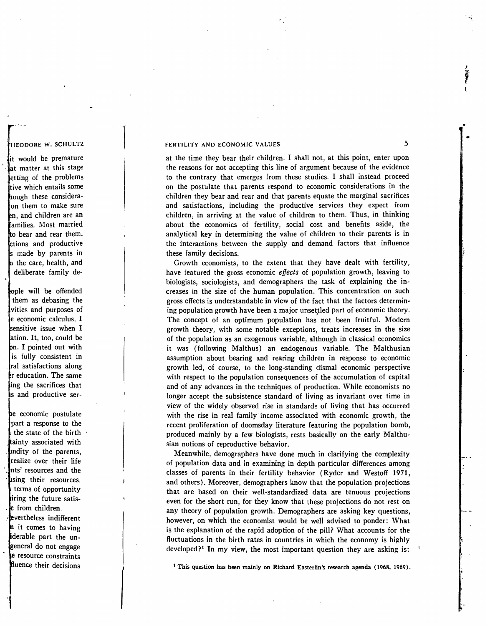## FERTILITY AND ECONOMIC VALUES 5

at the time they bear their children. I shall not, at this point, enter upon the reasons for not accepting this line of argument because of the evidence to the contrary that emerges from these studies. I shall instead proceed on the postulate that parents respond to economic considerations in the children they bear and rear and that parents equate the marginal sacrifices and satisfactions, including the productive services they expect from children, in arriving at the value of children to them. Thus, in thinking about the economics of fertility, social cost and benefits aside, the analytical key in determining the value of children to their parents is in the interactions between the supply and demand factors that influence these family decisions.

Growth economists, to the extent that they have dealt with fertility, have featured the gross economic effects of population growth, leaving to biologists, sociologists, and demographers the task of explaining the increases in the size of the human population. This concentration on such gross effects is understandable in view of the fact that the factors determining population growth have been a major unsettled part of economic theory. The concept of an optimum population has not been fruitful. Modern growth theory, with some notable exceptions, treats increases in the size of the population as an exogenous variable, although in classical economics it was (following Malthus) an endogenous variable. The Malthusian assumption about bearing and rearing children in response to economic growth led, of course, to the long-standing dismal economic perspective with respect to the population consequences of the accumulation of capital and of any advances in the techniques of production. While economists no longer accept the subsistence standard of living as invariant over time in view of the widely observed rise in standards of living that has occurred with the rise in real family income associated with economic growth, the recent proliferation of doomsday literature featuring the population bomb, produced mainly by a few biologists, rests basically on the early Malthusian notions of reproductive behavior.

Meanwhile, demographers have done much in clarifying the complexity of population data and in examining in depth particular differences among classes of parents in their fertility behavior (Ryder and Westoff 1971, and others). Moreover, demographers know that the population projections that are based on their well-standardized data are tenuous projections even for the short run, for they know that these projections do not rest on any theory of population growth. Demographers are asking key questions, however, on which the economist would be well advised to ponder: What is the explanation of the rapid adoption of the pill? What accounts for the fluctuations in the birth rates in countries in which the economy is highly developed?<sup>1</sup> In my view, the most important question they are asking is:

<sup>1</sup> This question has been mainly on Richard Easterlin's research agenda (1968, 1969).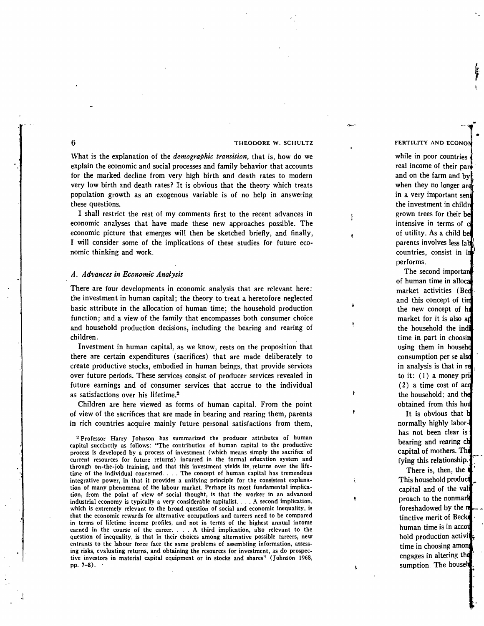What is the explanation of the *demographic transition*, that is, how do we explain the economic and social processes and family behavior that accounts for the marked decline from very high birth and death rates to modern very low birth and death rates? It is obvious that the theory which treats population growth as an exogenous variable is of no help in answering these questions.

I shall restrict the rest of my comments first to the recent advances in economic analyses that have made these new approaches possible. The economic picture that emerges will then be sketched briefly, and finally, I will consider some of the implications of these studies for future economic thinking and work.

### A. Advances in Economic Analysis

There are four developments in economic analysis that are relevant here: the investment in human capital; the theory to treat a heretofore neglected basic attribute in the allocation of human time; the household production function; and a view of the family that encompasses both consumer choice and household production decisions, including the bearing and rearing of children.

Investment in human capital, as we know, rests on the proposition that there are certain expenditures (sacrifices) that are made deliberately to create productive stocks, embodied in human beings, that provide services over future periods. These services consist of producer services revealed in future earnings and of consumer services that accrue to the individual as satisfactions over his lifetime.2

Children are here viewed as forms of human capital. From the point of view of the sacrifices that are made in bearing and rearing them, parents in rich countries acquire mainly future personal satisfactions from them,

2 Professor Harry Johnson has summarized the producer attributes of human capital succinctly as follows: "The contribution of human capital to the productive process is developed by a process of investment (which means simply the sacrifice of current resources for future returns) incurred in the formal education system and through on-the-job training, and that this investment yields its, returns over the lifetime of the individual concerned. . . The concept of human capital has tremendous integrative power, in that it provides a unifying principle for the consistent explanation of many phenomena of the labour market. Perhaps its most fundamental implication, from the point of view of social thought, is that the worker in an advanced industrial economy is typically a very considerable capitalist. . . . A second implication, which is extremely relevant to the broad question of social and economic inequality, is that the economic rewards for alternative occupations and careers need to be compared in terms of lifetime income profiles, and not in terms of the highest annual income earned in the course of the career. . . . A third implication, also relevant to the question of inequality, is that in their choices among alternative possible careers, new entrants to the labour force face the same problems of assembling information, assessing risks, evaluating returns, and obtaining the resources for investment, as do prospective investors in material capital equipment or in stocks and shares" (Johnson 1968, pp. 7—8).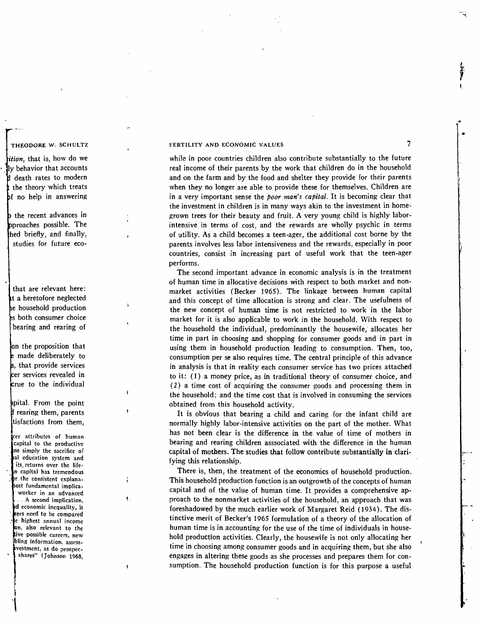while in poor countries children also contribute substantially to the future real income of their parents by the work that children do in the household and on the farm and by the food and shelter they provide for their parents when they no longer are able to provide these for themselves. Children are in a very important sense the *poor man's capital*. It is becoming clear that the investment in children is in many ways akin to the investment in homegrown trees for their beauty and fruit. A very young child is highly laborintensive in terms of cost, and the rewards are wholly psychic in terms of utility. As a child becomes a teen-ager, the additional cost borne by the parents involves less labor intensiveness and the rewards, especially in poor countries, consist in increasing part of useful work that the teen-ager performs.

The second important advance in economic analysis is in the treatment of human time in allocative decisions with respect to both market and nonmarket activities (Becker 1965). The linkage between human capital and this concept of time allocation is strong and clear. The usefulness of the new concept of human time is not restricted to work in the labor market for it is also applicable to work in the household. With respect to the household the individual, predominantly the housewife; allocates her time in part in choosing and shopping for consumer goods and in part in using them in household production leading to consumption. Then, too, consumption per se also requires time. The central principle of this advance in analysis is that in reality each consumer service has two prices attached to it: (1) a money price, as in traditional theory of consumer choice, and (2) a time cost of acquiring the consumer goods and processing them in the household; and the time cost that is involved in consuming the services obtained from this household activity.

It is obvious that bearing a child and caring for the infant child are normally highly labor-intensive activities on the part of the mother. What has not been clear is the difference in the value of time of mothers in bearing and rearing children asssociated with the difference in the human capital of mothers. The studies that follow contribute substantially in clarifying this relationship.

There is, then, the treatment of the economics of household production. This household production function is an outgrowth of the concepts of human capital and of the value of human time. It provides a comprehensive approach to the nonmarket activities of the household, an approach that was foreshadowed by the much earlier work of Margaret Reid (1934). The distinctive merit of Becker's 1965 formulation of a theory of the allocation of human time is in accounting for the use of the time of individuals in household production activities. Clearly, the housewife is not only allocating her time in choosing among consumer goods and in acquiring them, but she also engages in altering these goods as she processes and prepares them for consumption. The household production function is for this purpose a useful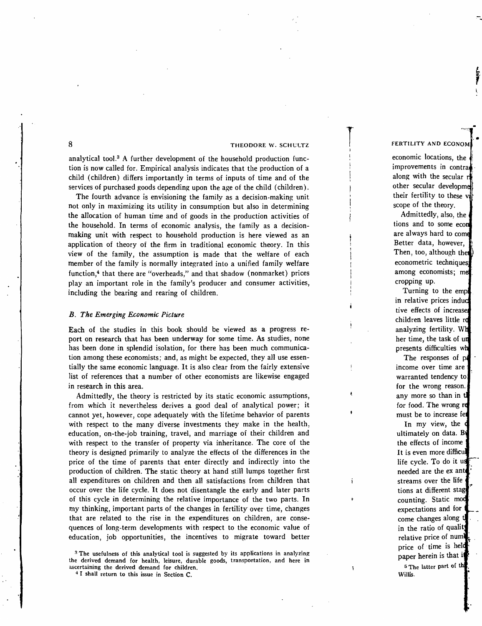analytical tool.3 A further development of the household production function is now called for. Empirical analysis indicates that the production of a child (children) differs importantly in terms of inputs of time and of the services of purchased goods depending upon the age of the child (children).

The fourth advance is envisioning the family as a decision-making unit not only in maximizing its utility in consumption but also in determining the allocation of human time and of goods in the production activities of the household. In terms of economic analysis, the family as a decisionmaking unit with respect to household production is here viewed as an application of theory of the firm in traditional economic theory. In this view of the family, the assumption is made that the welfare of each member of the family is normally integrated into a unified family welfare function,<sup>4</sup> that there are "overheads," and that shadow (nonmarket) prices play an important role in the family's producer and consumer activities, including the bearing and rearing of children.

#### B. The Emerging Economic Picture

Each of the studies in this book should be viewed as a progress report on research that has been underway for some time. As studies, none has been done in splendid isolation, for there has been much communication among these economists; and, as might be expected, they all use essentially the same economic language. It is also clear from the fairly extensive list of references that a number of other economists are likewise engaged in research in this area.

Admittedly, the theory is restricted by its static economic assumptions, from which it nevertheless derives a good deal of analytical power; it cannot yet, however, cope adequately with the lifetime behavior of parents with respect to the many diverse investments they make in the health, education, on-the-job training, travel, and marriage of their children and with respect to the transfer of property via inheritance. The core of the theory is designed primarily to analyze the effects of the differences in the price of the time of parents that enter directly and indirectly into the production of children. The static theory at hand still lumps together first all expenditures on children and then all satisfactions from children that occur over the life cycle. It does not disentangle the early and later parts of this cycle in determining the relative importance of the two parts. In my thinking, important parts of the changes in fertility over time, changes that are related to the rise in the expenditures on children, are consequences of long-term developments with respect to the economic value of education, job opportunities, the incentives to migrate toward better

The usefulness of this analytical tool is suggested by its applications in analyzing the derived demand for health, leisure, durable goods, transportation, and here in ascertaining the derived demand for children.<br><sup>4</sup> I shall return to this issue in Section C.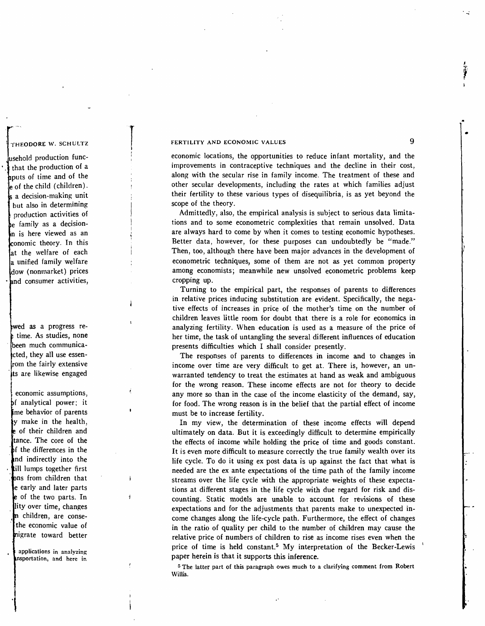# FERTILITY AND ECONOMIC VALUES 9

economic locations, the opportunities to reduce infant mortality, and the improvements in contraceptive techniques and the decline in their cost, along with the secular rise in family income. The treatment of these and other secular developments, including the rates at which families adjust their fertility to these various types of disequilibria, is as yet beyond the scope of the theory.

Admittedly, also, the empirical analysis is subject to serious data limitations and to some econometric complexities that remain unsolved. Data are always hard to come by when it comes to testing economic hypotheses. Better data, however, for these purposes can undoubtedly be "made." Then, too, although there have been major advances in the development of econometric techniques, some of them are not as yet common property among economists; meanwhile new unsolved econometric problems keep cropping up.

Turning to the empirical part, the responses of parents to differences in relative prices inducing substitution are evident. Specifically, the negative effects of increases in price of the mother's time on the number of children leaves little room for doubt that there is a role for economics in analyzing fertility. When education is used as a measure of the price of her time, the task of untangling the several different influences of education presents difficulties which I shall consider presently.

The responses of parents to differences in income and to changes in income over time are very difficult to get at. There is, however, an unwarranted tendency to treat the estimates at hand as weak and ambiguous for the wrong reason. These income effects are not for theory to decide any more so than in the case of the income elasticity of the demand, say, for food. The wrong reason is in the belief that the partial effect of income must be to increase fertility.

nsportant to the scotting and the scotting and the scotting and the scotting and the precise of an individual the scotting and for an individual the strate of an individual the strate of an individual the strate of an indi In my view, the determination of these income effects will depend ultimately on data. But it is exceedingly difficult to determine empirically the effects of income while holding the price of time and goods constant. It is even more difficult to measure correctly the true family wealth over its life cycle. To do it using ex post data is up against the fact that what is needed are the ex ante expectations of the time path of the family income streams over the life cycle with the appropriate weights of these expectations at different stages in the life cycle with due regard for risk and discounting. Static models are unable to account for revisions of these expectations and for the adjustments that parents make to unexpected income changes along the life-cycle path. Furthermore, the effect of changes in the ratio of quality per child to the number of children may cause the relative price of numbers of children to rise as income rises even when the price of time is held constant.5 My interpretation of the Becker-Lewis paper herein is that it supports this inference.

> <sup>5</sup> The latter part of this paragraph owes much to a clarifying comment from Robert Willis.

> > $\cdot$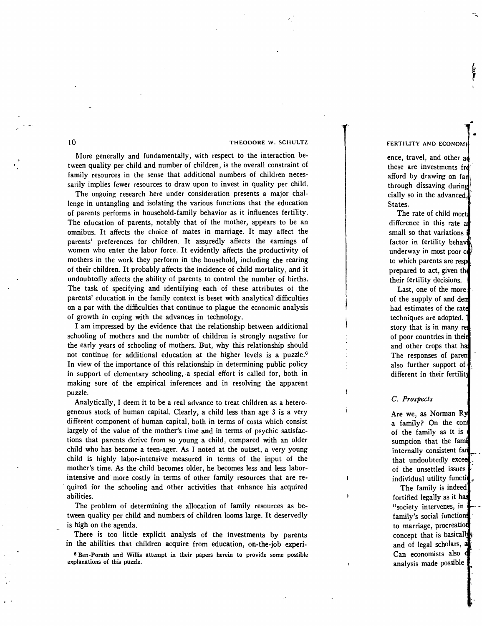More generally and fundamentally, with respect to the interaction between quality per child and number of children, is the overal' constraint of family resources in the sense that additional numbers of children necessarily implies fewer resources to draw upon to invest in quality per child.

The ongoing research here under consideration presents a major challenge in untangling and isolating the various functions that the education of parents performs in household-family behavior as it influences fertility. The education of parents, notably that of the mother, appears to be an omnibus. It affects the choice of mates in marriage. It may affect the parents' preferences for children. It assuredly affects the earnings of women who enter the labor force. It evidently affects the productivity of mothers in the work they perform in the household, including the rearing of their children. It probably affects the incidence of child mortality, and it undoubtedly affects the ability of parents to control the number of births. The task of specifying and identifying each of these attributes of the parents' education in the family context is beset with analytical' difficulties on a par with the difficulties that continue to plague the economic analysis of growth in coping with the advances in technology.

I am impressed by the evidence that the relationship between additional schooling of mothers and the number of children is strongly negative for the early years of schooling of mothers. But, why this relationship should not continue for additional education at the higher levels is a puzzle.° In view of the importance of this relationship in determining public policy in support of elementary schooling, a special effort is called for, both in making sure of the empirical inferences and in resolving the apparent puzzle.

Analytically, I deem it to be a real advance to treat children as a heterogeneous stock of human capital. Clearly, a child less than age 3 is a very different component of human capital, both in terms of costs which consist largely of the value of the mother's time and in terms of psychic satisfactions that parents derive from so young a child, compared with an older child who has become a teen-ager. As I noted at the outset, a very young child is highly labor-intensive measured in terms of the input of the mother's time. As the child becomes older, he becomes less and less laborintensive and' more costly in terms of other family resources that are re quired for the schooling and other activities that enhance his acquired abilities.

The problem of determining the allocation of family resources as between quality per child and numbers of children looms large. It deservedly is high on the agenda.

There is too little explicit analysis of the investments by parents in the abilities that children acquire from education, on-the-job experi-

6 Ben-Porath and Willis attempt in their papers herein to provide some possible explanations of this puzzle.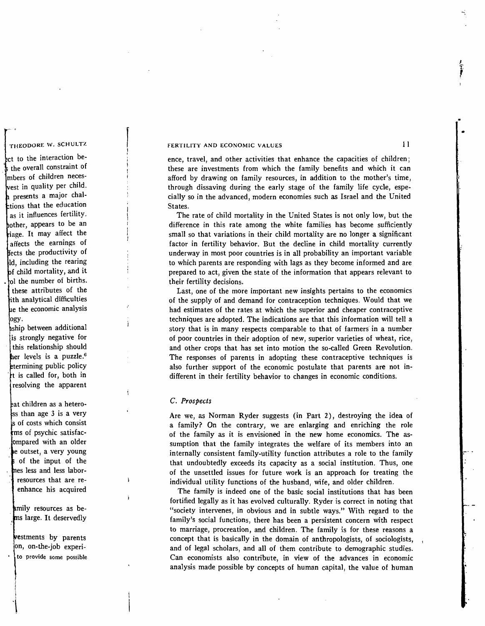ence, travel, and other activities that enhance the capacities of children; these are investments from which the family benefits and which it can afford by drawing on family resources, in addition to the mother's time, through dissaving during the early stage of the family life cycle, especially so in the advanced, modern economies such as Israel and the United States.

The rate of child mortality in the United States is not only low, but the difference in this rate among the white families has become sufficiently small so that variations in their child mortality are no longer a significant factor in fertility behavior. But the decline in child mortality currently underway in most poor countries is in all probability an important variable to which parents are responding with lags as they become informed and are prepared to act, given the state of the information that appears relevant to their fertility decisions.

Last, one of the more important new insights pertains to the economics of the supply of and demand for contraception techniques. Would that we had estimates of the rates at which the superior and cheaper contraceptive techniques are adopted. The indications are that this information will tell a story that is in many respects comparable to that of farmers in a number of poor countries in their adoption of new, superior varieties of wheat, rice, and other crops that has set into motion the so-called Green Revolution. The responses of parents in adopting these contraceptive techniques is also further support of the economic postulate that parents are not indifferent in their fertility behavior to changes in economic conditions.

## C. Prospects

Are we, as Norman Ryder suggests (in Part 2), destroying the idea of a family? On the contrary, we are enlarging and enriching the role of the family as it is envisioned in the new home economics. The assumption that the family integrates the welfare of its members into an internally consistent family-utility function attributes a role to the family that undoubtedly exceeds its capacity as a social institution. Thus, one of the unsettled issues for future work is an approach for treating the individual utility functions of the husband, wife, and older children.

The family is indeed one of the basic social institutions that has been fortified legally as it has evolved culturally. Ryder is correct in noting that "society intervenes, in obvious and in subtle ways." With regard to the family's social functions, there has been a persistent concern with respect to marriage, procreation, and children. The family is for these reasons a concept that is basically in the domain of anthropologists, of sociologists, and of legal scholars, and all of them contribute to demographic studies. Can economists also contribute, in view of the advances in economic analysis made possible by concepts of human capital, the value of human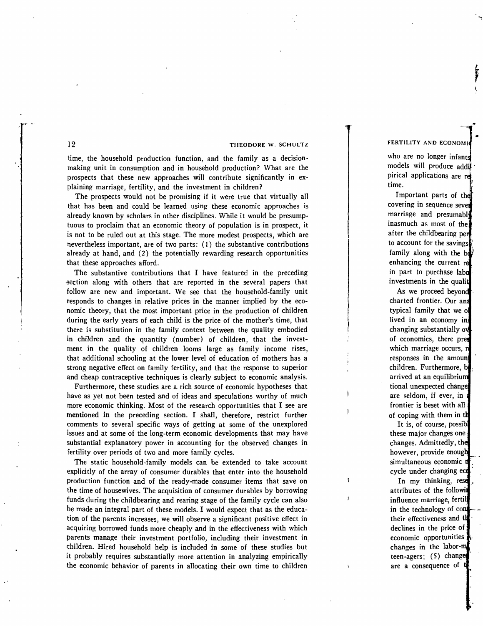time, the household production function, and the family as a decisionmaking unit in consumption and in household production? What are the prospects that these new approaches will contribute significantly in explaining marriage, fertility, and the investment in children?

The prospects would not be promising if it were true that virtually all that has been and could be learned using these economic approaches is already known by scholars in other disciplines. While it would be presumptuous to proclaim that an economic theory of population is in prospect, it is not to be ruled out at this stage. The more modest prospects, which are nevertheless important, are of two parts: (1) the substantive contributions already at hand, and (2) the potentially rewarding research opportunities that these approaches afford.

The substantive contributions that I have featured in the preceding -section along with others that are reported in the several papers that follow are new and important. We see that the household-family unit responds to changes in relative prices in the manner implied by the economic theory, that the most important price in the production of children during the early years of each child is the price of the mother's time, that there is substitution in the family context between the quality embodied in children and the quantity (number) of children, that the investment in the quality of children looms large as family income rises, that additional schooling at the lower level of education of mothers has a strong negative effect on family fertility, and that the response to superior and cheap contraceptive techniques is clearly subject to economic analysis.

Furthermore, these studies are a rich source of economic hypotheses that have as yet not been tested and of ideas and speculations worthy of much more economic thinking. Most of the research opportunities that I see are mentioned in the preceding section. I shall, therefore, restrict further comments to several specific ways of getting at some of the unexplored issues and at some of the long-term economic developments that may have substantial explanatory power in accounting for the observed changes in fertility over periods of two and more family cycles.

The static household-family models can be extended to take account explicitly of the array of consumer durables that enter into the household production function and of the ready-made consumer items that save on the time of housewives. The acquisition of consumer durables by borrowing funds during the childbearing and rearing stage of the family cycle can also be made an integral part of these models. I would expect that as the education of the parents increases, we will observe a significant positive effect in acquiring borrowed funds more cheaply and in the effectiveness with which parents manage their investment portfolio, including their investment in children. Hired household help is included in some of these studies but it probably requires substantially more attention in analyzing empirically the economic behavior of parents in allocating their own time to children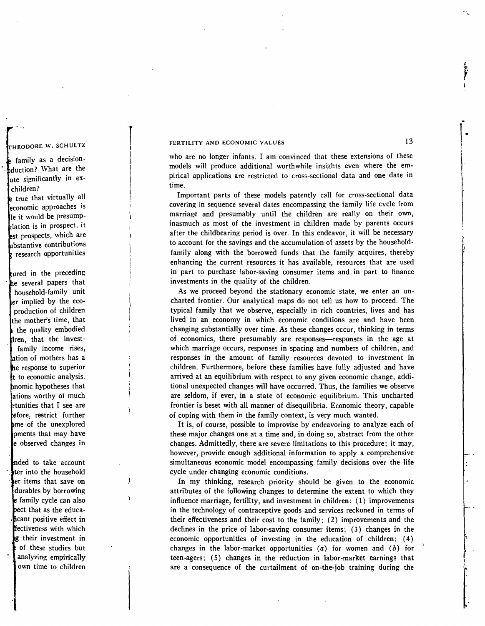who are no longer infants. I am convinced that these extensions of these models will produce additional worthwhile insights even where the empirical applications are restricted to cross-sectional data and one date in time.

Important parts of these models patently call for cross-sectional data covering in sequence several dates encompassing the family life cycle from marriage and presumably until the children are really on their own, inasmuch as most of the investment in children made by parents occurs after the childbearing period is over. In this endeavor, it will be necessary to account for the savings and the accumulation of assets by the householdfamily along with the borrowed funds that the family acquires, thereby enhancing the current resources it has available, resources that are used in part to purchase labor-saving consumer items and in part to finance investments in the quality of the children.

As we proceed beyond the stationary economic state, we enter an uncharted frontier. Our analytical maps do not tell us how to proceed. The typical family that we observe, especially in rich countries, lives and has lived in an economy in which economic conditions are and have been changing substantially over time. As these changes occur, thinking in terms of economics, there presumably are responses—responses in the age at which marriage occurs, responses in spacing and numbers of children, and responses in the amount of family resources devoted to investment in children. Furthermore, before these families have fully adjusted and have arrived at an equilibrium with respect to any given economic change, additional unexpected changes will have occurred. Thus, the families we observe are seldom, if ever, in a state of economic equilibrium. This uncharted frontier is beset with all manner of disequilibria. Economic theory, capable of coping with them in the family context, is very much wanted.

It is, of course, possible to improvise by endeavoring to analyze each of these major changes one at a time and, in doing so, abstract from the other changes. Admittedly, there are severe limitations to this procedure; it may, however, provide enough additional information to apply a comprehensive simultaneous economic model encompassing family decisions over the life cycle under changing economic conditions.

In my thinking, research priority should be given to the economic attributes of the following changes to determine the extent to which they influence marriage, fertility, and investment in children: (1) improvements in the technology of contraceptive goods and services reckoned in terms of their effectiveness and their cost to the family; (2) improvements and the declines in the price of labor-saving consumer items; (3) changes in the economic opportunities of investing in the education of children; (4) changes in the labor-market opportunities  $(a)$  for women and  $(b)$  for teen-agers; (5) changes in the reduction in labor-market earnings that are a consequence of the curtailment of on-the-job training during the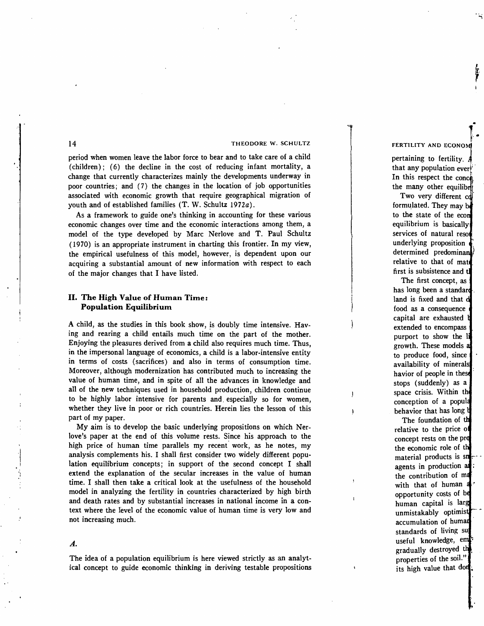period when women leave the labor force to bear and to take care of a child (children); (6) the decline in the cost of reducing infant mortality, a change that currently characterizes mainly the developments underway in poor countries; and (7) the changes in the location of job opportunities associated with economic growth that require geographical migration of youth and of established families (T. W. Schultz 1972a).

As a framework to guide one's thinking in accounting for these various economic changes over time and the economic interactions among them, a model of the type developed by Marc Nerlove and T. Paul Schultz (1970) is an appropriate instrument in charting this frontier. In my view, the empirical usefulness of this model, however, is dependent upon our acquiring a substantial amount of new information with respect to each of the major changes that I have listed.

# II. The High Value of Human Time: Population Equilibrium

A child, as the studies in this book show, is doubly time intensive. Having and rearing a child entails much time on the part of the mother. Enjoying the pleasures derived from a child also requires much time. Thus, in the impersonal language of economics, a child is a labor-intensive entity in terms of costs (sacrifices) and also in terms of consumption time. Moreover, although modernization has contributed much to increasing the value of human time, and in spite of all the advances in knowledge and all of the new techniques used in household production, children continue to be highly labor intensive for parents and, especially so for women, whether they live in poor or rich countries. Herein lies the lesson of this part of my paper.

My aim is to develop the basic underlying propositions on which Nerlove's paper at the end of this volume rests. Since his approach to the high price of human time parallels my recent work, as he notes, my analysis complements his. I shall first consider two widely different population equilibrium concepts; in support of the second concept I shall extend the explanation of the secular increases in the value of human time. I shall then take a critical look at the usefulness of the household model in analyzing the fertility in countries characterized by high birth and death rates and by substantial increases in national income in a context where the level of the economic value of human time is very low and not increasing much.

A.

The idea of a population equilibrium is here viewed strictly as an analytical concept to guide economic thinking in deriving testable propositions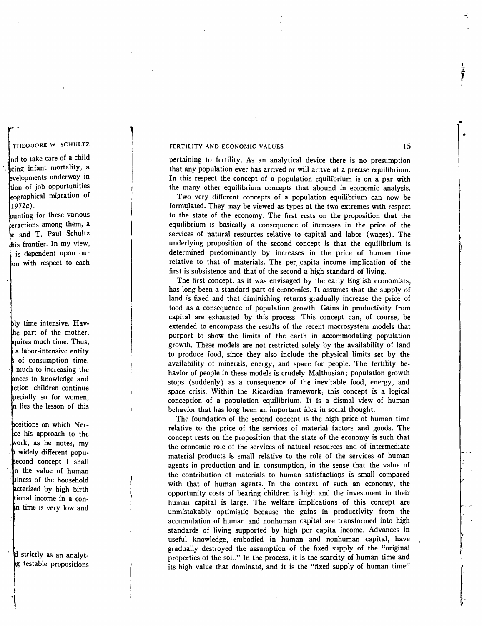#### FERTILITY AND ECONOMIC VALUES 15

pertaining to fertility. As an analytical device there is no presumption that any population ever has arrived or will arrive at a precise equilibrium. In this respect the concept of a population equilibrium is on a par with the many other equilibrium concepts that abound in economic analysis.

Two very different concepts of a population equilibrium can now be formulated. They may be viewed as types at the two extremes with respect to the state of the economy. The First rests on the proposition that the equilibrium is basically a consequence of increases in the price of the services of natural resources relative to capital and labor (wages). The underlying proposition of the second concept is that the equilibrium is determined predominantly by increases in the price of human time relative to that of materials. The per capita income implication of the first is subsistence and that of the second a high standard of living.

The first concept, as it was envisaged by the early English economists, has long been a standard part of economics. It assumes that the supply of land is fixed and that diminishing returns gradually increase the price of food as a consequence of population growth. Gains in productivity from capital are exhausted by this process. This concept can, of course, be extended to encompass the results of the recent macrosystem models that purport to show the limits of the earth in accommodating population growth. These models are not restricted solely by the availability of land to produce food, since they also include the physical limits set by the availability of minerals, energy, and space for people. The fertility behavior of people in these models is crudely Malthusian; population growth stops (suddenly) as a consequence of the inevitable food, energy, and space crisis. Within the Ricardian framework, this concept is a logical conception of a population equilibrium. It is a dismal view of human behavior that has long been an important idea in social thought.

The foundation of the second concept is the high price of human time relative to the price of the services of material factors and goods. The concept rests on the proposition that the state of the economy is such that the economic role of the services of natural resources and of intermediate material products is small relative to the role of the services of human agents in production and in consumption, in the sense that the value of the contribution of materials to human satisfactions is small compared with that of human agents. In the context of such an economy, the opportunity costs of bearing children is high and the investment in their human capital is large. The welfare implications of this concept are unmistakably optimistic because the gains in productivity from the accumulation of human and nonhuman capital are transformed into high standards of living supported by high per capita income. Advances in useful knowledge, embodied in human and nonhuman capital, have gradually destroyed the assumption of the fixed supply of the "original properties of the soil." In the process, it is the scarcity of human time and its high value that dominate, and it is the "fixed supply of human time"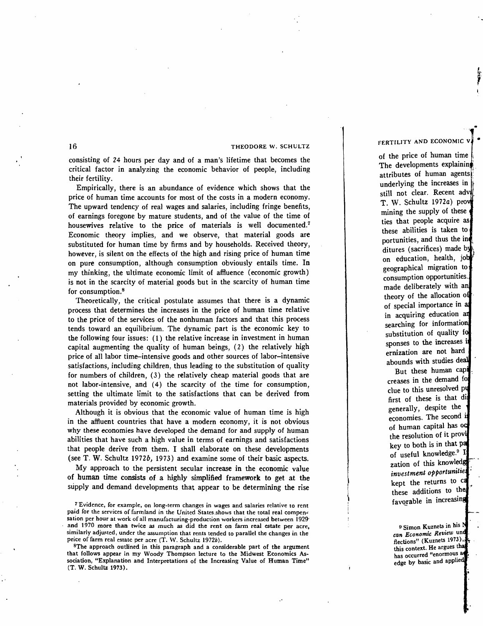$\ddot{\phantom{0}}$ 

consisting of 24 hours per day and of a man's lifetime that becomes the critical factor in analyzing the economic behavior of people, including their fertility.

Empirically, there is an abundance of evidence which shows that the price of human time accounts for most of the costs in a modern economy. The upward tendency of real wages and salaries, including fringe benefits, of earnings foregone by mature students, and of the value of the time of housewives relative to the price of materials is well documented.7 Economic theory implies, and we observe, that material goods are substituted for human time by firms and by households. Received theory, however, is silent on the effects of the high and rising price of human time on pure consumption, although consumption obviously entails time. In my thinking, the ultimate economic limit of affluence (economic growth) is not in the scarcity of material goods but in the scarcity of human time for consumption.8

Theoretically, the critical postulate assumes that there is a dynamic process that determines the increases in the price of human time relative to the price of the services of the nonhuman factors and that this process tends toward an equilibrium. The dynamic part is the economic key to the following four issues: (1) the relative increase in investment in human capital augmenting the quality of human beings, (2) the relatively high price of all labor time—intensive goods and other sources of labor—intensive satisfactions, including children, thus leading to the substitution of quality for numbers of children, (3) the relatively cheap material goods that are not labor-intensive, and (4) the scarcity of the time for consumption, setting the ultimate limit to the satisfactions that can be derived from materials provided by economic growth.

Although it is obvious that the economic value of human time is high in the affluent countries that have a modern economy, it is not obvious why these economies have developed the demand for and supply of human abilities that have such a high value in terms of earnings and satisfactions that people derive from them. I shall elaborate on these developments (see T. W. Schultz 1972b, 1973) and examine some of their basic aspects.

My approach to the persistent secular increase in the economic value of human time consists of a highly simplified framework to get at the supply and demand developments that appear to be determining the rise

<sup>7&#</sup>x27;Evidence, for example, on long-term changes in wages and salaries relative to rent paid for the services of farmland in the United States shows that the total real compensation per hour at work of all manufacturing-production workers increased between 1929 and 1970 more than twice as much as did the rent on farm real estate per acre, similarly adjusted, under the assumption that rents tended to parallel the changes in the price of farm real estate per acre (T. W. Schultz 1972b).

<sup>&</sup>lt;sup>8</sup>The approach outlined in this paragraph and a considerable part of the argument that follows appear in my Woody Thompson lecture to the Midwest Economies Association, "Explanation and Interpretations of the Increasing Value of Human Time" (T. W. Schultz 1973).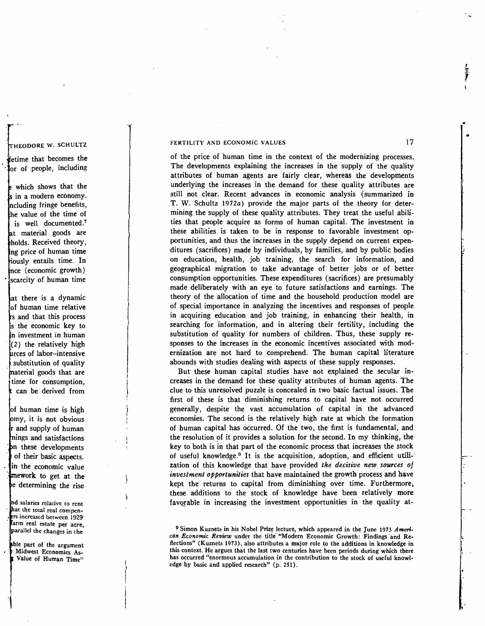of the price of human time in the context of the modernizing processes. The developments explaining the increases in the supply of the quality attributes of human agents are fairly clear, whereas the developments underlying the increases in the demand for these quality attributes are still not clear. Recent advances in economic analysis (summarized in T. W. Schultz 1972a) provide the major parts of the theory for determining the supply of these quality attributes. They treat the useful abilities that people acquire as forms of human capital. The investment in these abilities is taken to be in response to favorable investment opportunities, and thus the increases in the supply depend on current expenditures (sacrifices) made by individuals, by families, and by public bodies on education, health, job training, the search for information, and geographical migration to take advantage of better jobs or of better consumption opportunities. These expenditures (sacrifices) are presumably made deliberately with an eye to future satisfactions and earnings. The theory of the allocation of time and the household production model are of special importance in analyzing the incentives and responses of people in acquiring education and job training, in enhancing their health, in searching for information, and in altering their fertility, including the substitution of quality for numbers of children. Thus, these supply responses to the increases in the economic incentives associated with modernization are not hard to comprehend. The human capital literature abounds with studies dealing with aspects of these supply responses.

But these human capital studies have not explained the secular increases in the demand for these quality attributes of human agents. The clue to this unresolved puzzle is concealed in two basic factual issues. The first of these is that diminishing returns to capital have not occurred generally, despite the vast accumulation of capital in the advanced economies. The second is the relatively high rate at which the formation of human capital has occurred. Of the two, the first is fundamental, and the resolution of it provides a solution for the second. In my thinking, the key to both is in that part of the economic process that increases the stock of useful knowledge.9 It is the acquisition, adoption, and efficient utilization of this knowledge that have provided the decisive new sources of investment opportunities that have maintained the growth process and have kept the returns to capital from diminishing over time. Furthermore, these additions to the stock of knowledge have been relatively more favorable in increasing the investment opportunities in the quality at-

<sup>&</sup>lt;sup>9</sup> Simon Kuznets in his Nobel Prize lecture, which appeared in the June 1973 American Economic Review under the title "Modern Economic Growth: Findings and Reflections" (Kuznets 1973), also attributes a major role to the additions in knowledge in this context. He argues that the last two centuries have been periods during which there has occurred "enormous accumulation in the contribution to the stock of useful knowledge by basic and applied research" (p. 251).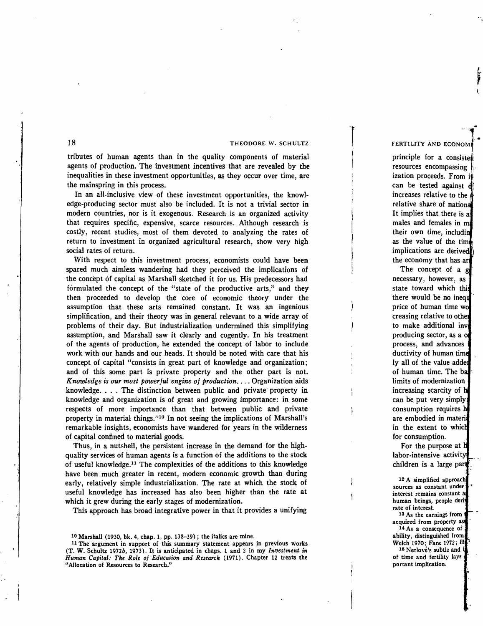tributes of human agents than in the quality components of material agents of production. The investment incentives that are revealed by the inequalities in these investment opportunities, as they occur over time, are the mainspring in this process.

In an all-inclusive view of these investment opportunities, the knowledge-producing sector must also be included. It is not a trivial sector in modern countries, nor is it exogenous. Research is an organized activity that requires specific, expensive, scarce resources. Although research is costly, recent studies, most of them devoted to analyzing the rates of return to investment in organized agricultural research, show very high social rates of return.

With respect to this investment process, economists could have been spared much aimless wandering had they perceived the implications of the concept of capital as Marshall sketched it for us. His predecessors had formulated the concept of the "state of the productive arts," and they then proceeded to develop the core of economic theory under the assumption that these arts remained constant. It was an ingenious simplification, and their theory was in general relevant to a wide array of problems of their day. But industrialization undermined this simplifying assumption, and Marshall saw it clearly and cogently. In his treatment of the agents of production, he extended the concept of labor to include work with our hands and our heads. It should be noted with care that his concept of capital "consists in great part of knowledge and organization; and of this some part is private property and the other part is not. Knowledge is our most powerful engine of production. . . . Organization aids knowledge. . . . The distinction between public and private property in knowledge and organization is of great and growing importance: in some respects of more importance than that between public and private property in material things."<sup>10</sup> In not seeing the implications of Marshall's remarkable insights, economists have wandered for years in the wilderness of capital confined to material goods.

Thus, in a nutshell, the persistent increase in the demand for the highquality services of human agents is a function of the additions to the stock of useful knowledge.11 The complexities of the additions to this knowledge have been much greater in recent, modern economic growth than during early, relatively simple industrialization. The rate at which the stock of useful knowledge has increased has also been higher than the rate at which it grew during the early stages of modernization.

This approach has broad integrative power in that it provides a unifying

<sup>10</sup> Marshall (1930, bk. 4, chap. I, pp. 138—39); the italics are mine.

<sup>11</sup> The argument in support of this summary statement appears in previous works (T. W. Schultz 1972b, 1973). It is anticipated in chaps. 1 and 2 in my Investment in Human Capital: The Role of Education and Research (1971). Chapter 12 treats the "Allocation of Resources to Research."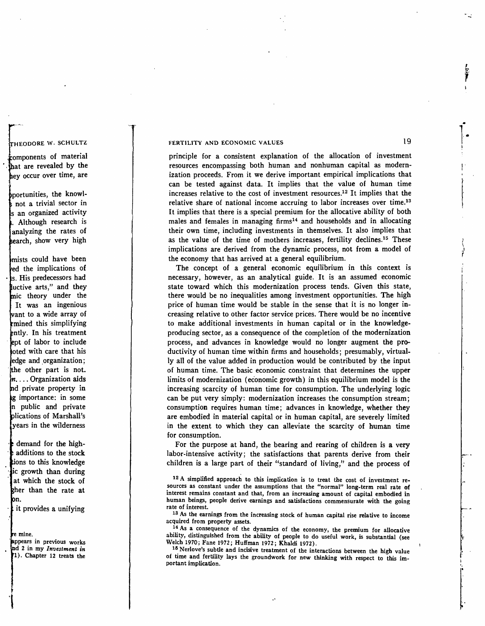principle for a consistent explanation of the allocation of investment resources encompassing both human and nonhuman capital as modernization proceeds. From it we derive important empirical implications that can be tested against data. It implies that the value of human time increases relative to the cost of investment resources.<sup>12</sup> It implies that the relative share of national income accruing to labor increases over time.13 It implies that there is a special premium for the allocative ability of both males and females in managing firms'4 and households and in allocating their own time, including investments in themselves. It also implies that as the value of the time of mothers increases, fertility declines.15 These implications are derived from the dynamic process, not from a model of the economy that has arrived at a general equilibrium.

The concept of a general economic equilibrium in this context is necessary, however, as an analytical guide. It is an assumed economic state toward which this modernization process tends. Given this state, there would be no inequalities among investment opportunities. The high price of human time would be stable in the sense that it is no longer increasing relative to other factor service prices. There would be no incentive to make additional investments in human capital or in the knowledgeproducing sector, as a consequence of the completion of the modernization process, and advances in knowledge would no longer augment the productivity of human time within firms and households; presumably, virtually all of the value added in production would be contributed by the input of human time. The basic economic constraint that determines the upper limits of modernization (economic growth) in this equilibrium model is the increasing scarcity of human time for consumption. The underlying logic can be put very simply: modernization increases the consumption stream; consumption requires human time; advances in knowledge, whether they are embodied in material capital or in human capital, are severely limited in the extent to which they can alleviate the scarcity of human time for consumption.

For the purpose at hand, the bearing and rearing of children is a very labor-intensive activity; the satisfactions that parents derive from their children is a large part of their "standard of living," and the process of

<sup>12</sup> A simplified approach to this implication is to treat the cost of investment re-<br>sources as constant under the assumptions that the "normal" long-term real rate of interest remains constant and that, from an increasing amount of capital embodied in human beings, people derive earnings and satisfactions commensurate with the going rate of interest.

<sup>13</sup> As the earnings from the increasing stock of human capital rise relative to income acquired from property assets.

ability, distinguished from the ability of people to do useful work, is substantial (see<br>Welch 1970; Fane 1972; Huffman 1972; Khaldi 1972).<br><sup>15</sup> Nerlove's subtle and incisive treatment of the interactions between the high  $14$  As a consequence of the dynamics of the economy, the premium for allocative ability, distinguished from the ability of people to do useful work, is substantial (see

portant implication.

 $\cdot$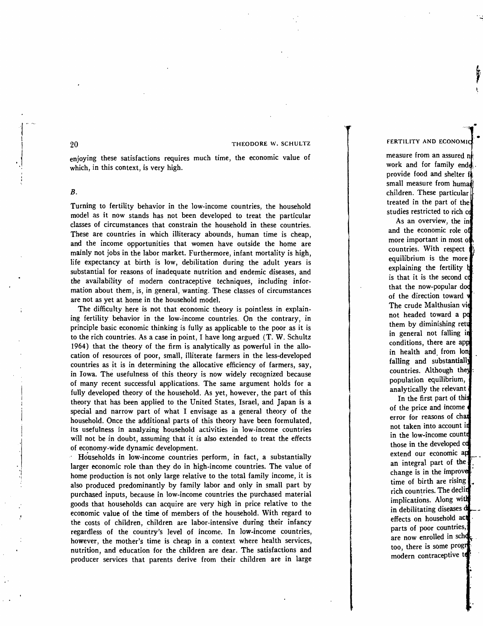enjoying these satisfactions requires much time, the economic value of which, in this context, is very high.

## B.

Turning to fertility behavior in the low-income countries, the household model as it now stands has not been developed to treat the particular classes of circumstances that constrain the household in these countries. These are countries in which illiteracy abounds, human time is cheap, and the income opportunities that women have outside the home are mainly not jobs in the labor market. Furthermore, infant mortality is high, life expectancy at birth is low, debilitation during the adult years is substantial for reasons of inadequate nutrition and endemic diseases, and the availability of modern contraceptive techniques, including information about them, is, in general, wanting. These classes of circumstances are not as yet at home in the household model.

The difficulty here is not that economic theory is pointless in explaining fertility behavior in the low-income countries. On the contrary, in principle basic economic thinking is fully as applicable to the poor as it is to the rich countries. As a case in point, I have long argued (T. W. Schultz 1964) that the theory of the firm is analytically as powerful in the allocation of resources of poor, small, illiterate farmers in the less-developed countries as it is in determining the allocative efficiency of farmers, say, in Iowa. The usefulness of this theory is now widely recognized because of many recent successful applications. The same argument holds for a fully developed theory of the household. As yet, however, the part of this theory that has been applied to the United States, Israel, and Japan is a special and narrow part of what I envisage as a general theory of the household. Once the additional parts of this theory have been formulated, its usefulness in analyzing household activities in low-income countries will not be in doubt, assuming that it is also extended to treat the effects of economy-wide dynamic development.

• Households in low-income countries perform, in fact, a substantially larger economic role than they do in high-income countries. The value of home production is not only large relative to the total family income, it is also produced predominantly by family labor and only in small part by purchased inputs, because in low-income countries the purchased material goods that households can acquire are very high in price relative to the economic value of the time of members of the household. With regard to the costs of children, children are labor-intensive during their infancy regardless of the country's level of income. In low-income countries, however, the mother's time is cheap in a context where health services, nutrition, and education for the children are dear. The satisfactions and producer services that parents derive from their children are in large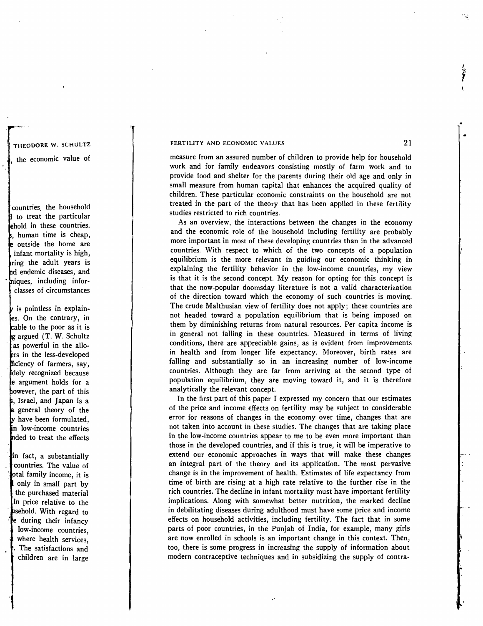### FERTILITY AND ECONOMIC VALUES 21

measure from an assured number of children to provide help for household work and for family endeavors consisting mostly of farm work and to provide food and shelter for the parents during their old age and only in small measure from human capital that enhances the acquired quality of children. These particular economic constraints on the household are not treated in the part of the theory that has been applied in these fertility studies restricted to rich countries.

As an overview, the interactions between the changes in the economy and the economic role of the household including fertility are probably more important in most of these developing countries than in the advanced countries. With respect to which of the two concepts of a population equilibrium is the more relevant in guiding our economic thinking in explaining the fertility behavior in the low-income countries, my view is that it is the second concept. My reason for opting for this concept is that the now-popular doomsday literature is not a valid characterization of the direction toward which the economy of such countries is moving. The crude Malthusian view of fertility does not apply; these countries are not headed toward a population equilibrium that is being imposed on them by diminishing returns from natural resources. Per capita income is in general not falling in these countries. Measured in terms of living conditions, there are appreciable gains, as is evident from improvements in health and from longer life expectancy. Moreover, birth rates are falling and substantially so in an increasing number of low-income countries. Although they are far from arriving at the second type of population equilibrium, they are moving toward it, and it is therefore analytically the relevant concept.

In the first part of this paper I expressed my concern that our estimates of the price and income effects on fertility may be subject to considerable error for reasons of changes in the economy over time, changes that are not taken into account in these studies. The changes that are taking place in the low-income countries appear to me to be even more important than those in the developed countries, and if this is true, it will be imperative to extend our economic approaches in ways that will make these changes an integral part of the theory and its application. The most pervasive change is in the improvement of health. Estimates of life expectancy from time of birth are rising at a high rate relative to the further rise in the rich countries. The decline in infant mortality must have important fertility implications. Along with somewhat better nutrition, the marked decline in debilitating diseases during adulthood must have some price and income effects on household activities, including fertility. The fact that in some parts of poor countries, in the Punjab of India, for example, many girls are now enrolled in schools is an important change in this context. Then, too, there is some progress in increasing the supply of information about modern contraceptive techniques and in subsidizing the supply of contra-

 $\epsilon^{\mu}$